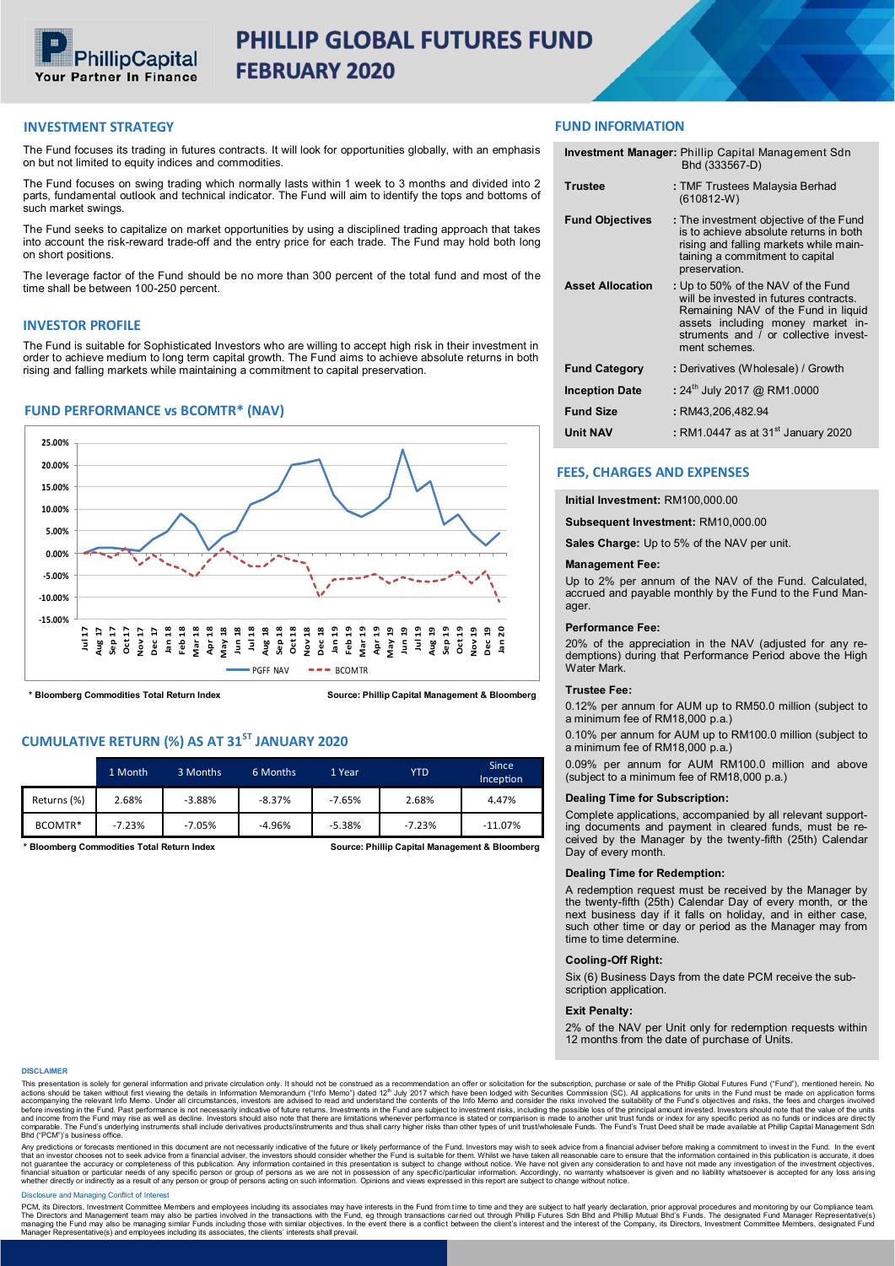

# PHILLIP GLOBAL FUTURES FUND **FEBRUARY 2020**

# **INVESTMENT STRATEGY**

The Fund focuses its trading in futures contracts. It will look for opportunities globally, with an emphasis on but not limited to equity indices and commodities.

The Fund focuses on swing trading which normally lasts within 1 week to 3 months and divided into 2 parts, fundamental outlook and technical indicator. The Fund will aim to identify the tops and bottoms of such market swings.

The Fund seeks to capitalize on market opportunities by using a disciplined trading approach that takes into account the risk-reward trade-off and the entry price for each trade. The Fund may hold both long on short positions.

The leverage factor of the Fund should be no more than 300 percent of the total fund and most of the time shall be between 100-250 percent.

# **INVESTOR PROFILE**

The Fund is suitable for Sophisticated Investors who are willing to accept high risk in their investment in order to achieve medium to long term capital growth. The Fund aims to achieve absolute returns in both rising and falling markets while maintaining a commitment to capital preservation.

# **FUND PERFORMANCE vs BCOMTR\* (NAV)**



**\* Bloomberg Commodities Total Return Index**

**Source: Phillip Capital Management & Bloomberg**

# **CUMULATIVE RETURN (%) AS AT 31ST JANUARY 2020**

|             | 1 Month  | 3 Months | 6 Months | 1 Year   | <b>YTD</b> | <b>Since</b><br>Inception |
|-------------|----------|----------|----------|----------|------------|---------------------------|
| Returns (%) | 2.68%    | $-3.88%$ | $-8.37%$ | $-7.65%$ | 2.68%      | 4.47%                     |
| BCOMTR*     | $-7.23%$ | $-7.05%$ | $-4.96%$ | $-5.38%$ | $-7.23%$   | $-11.07\%$                |

**\* Bloomberg Commodities Total Return Index**

**Source: Phillip Capital Management & Bloomberg**

# **FUND INFORMATION**

|                         | <b>Investment Manager: Phillip Capital Management Sdn</b><br>Bhd (333567-D)                                                                                                                                        |
|-------------------------|--------------------------------------------------------------------------------------------------------------------------------------------------------------------------------------------------------------------|
| <b>Trustee</b>          | : TMF Trustees Malaysia Berhad<br>$(610812-W)$                                                                                                                                                                     |
| <b>Fund Objectives</b>  | : The investment objective of the Fund<br>is to achieve absolute returns in both<br>rising and falling markets while main-<br>taining a commitment to capital<br>preservation.                                     |
| <b>Asset Allocation</b> | : Up to 50% of the NAV of the Fund<br>will be invested in futures contracts.<br>Remaining NAV of the Fund in liquid<br>assets including money market in-<br>struments and / or collective invest-<br>ment schemes. |
| <b>Fund Category</b>    | : Derivatives (Wholesale) / Growth                                                                                                                                                                                 |
| <b>Inception Date</b>   | : 24 <sup>th</sup> July 2017 @ RM1.0000                                                                                                                                                                            |
| <b>Fund Size</b>        | : RM43,206,482.94                                                                                                                                                                                                  |
| <b>Unit NAV</b>         | : RM1.0447 as at 31 <sup>st</sup> January 2020                                                                                                                                                                     |

## **FEES, CHARGES AND EXPENSES**

## **Initial Investment:** RM100,000.00

**Subsequent Investment:** RM10,000.00

**Sales Charge:** Up to 5% of the NAV per unit.

# **Management Fee:**

Up to 2% per annum of the NAV of the Fund. Calculated, accrued and payable monthly by the Fund to the Fund Manager.

#### **Performance Fee:**

20% of the appreciation in the NAV (adjusted for any redemptions) during that Performance Period above the High Water Mark.

## **Trustee Fee:**

0.12% per annum for AUM up to RM50.0 million (subject to a minimum fee of RM18,000 p.a.)

0.10% per annum for AUM up to RM100.0 million (subject to a minimum fee of RM18,000 p.a.)

0.09% per annum for AUM RM100.0 million and above (subject to a minimum fee of RM18,000 p.a.)

## **Dealing Time for Subscription:**

Complete applications, accompanied by all relevant supporting documents and payment in cleared funds, must be received by the Manager by the twenty-fifth (25th) Calendar Day of every month.

#### **Dealing Time for Redemption:**

A redemption request must be received by the Manager by the twenty-fifth (25th) Calendar Day of every month, or the next business day if it falls on holiday, and in either case, such other time or day or period as the Manager may from time to time determine.

## **Cooling-Off Right:**

Six (6) Business Days from the date PCM receive the subscription application.

#### **Exit Penalty:**

2% of the NAV per Unit only for redemption requests within 12 months from the date of purchase of Units.

#### **DISCLAIMER**

This presentation is solely for general information and private circulation only. It should not be construed as a recommendation an offer or solicitation for the subscription, purchase or sale of the Phillip Global Futures comparable. The Fund's under<br>Bhd ("PCM")'s business office.

Any predictions or forecasts mentioned in this document are not necessantly indicative of the future or likely performance of the Fund. In the Vend End, the avent of the fund. In the event and advise from a financial advis

## Disclosure and Managing Conflict of Interest

PCM, its Directors, Investment Committee Members and employees including its associates may have interests in the Fund from time to time and they are subject to half yearly declaration, prior approval procedures and monito